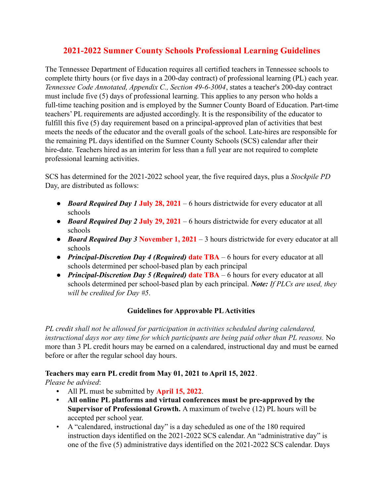# **2021-2022 Sumner County Schools Professional Learning Guidelines**

The Tennessee Department of Education requires all certified teachers in Tennessee schools to complete thirty hours (or five days in a 200-day contract) of professional learning (PL) each year. *Tennessee Code Annotated, Appendix C., Section 49-6-3004*, states a teacher's 200-day contract must include five (5) days of professional learning. This applies to any person who holds a full-time teaching position and is employed by the Sumner County Board of Education. Part-time teachers' PL requirements are adjusted accordingly. It is the responsibility of the educator to fulfill this five (5) day requirement based on a principal-approved plan of activities that best meets the needs of the educator and the overall goals of the school. Late-hires are responsible for the remaining PL days identified on the Sumner County Schools (SCS) calendar after their hire-date. Teachers hired as an interim for less than a full year are not required to complete professional learning activities.

SCS has determined for the 2021-2022 school year, the five required days, plus a *Stockpile PD* Day, are distributed as follows:

- *Board Required Day 1* **July 28, 2021** 6 hours districtwide for every educator at all schools
- *Board Required Day 2* **July 29, 2021** 6 hours districtwide for every educator at all schools
- *Board Required Day 3* **November 1, 2021** 3 hours districtwide for every educator at all schools
- *Principal-Discretion Day 4 (Required)* **date TBA** 6 hours for every educator at all schools determined per school-based plan by each principal
- *Principal-Discretion Day 5 (Required)* **date TBA** 6 hours for every educator at all schools determined per school-based plan by each principal. *Note: If PLCs are used, they will be credited for Day #5*.

# **Guidelines for Approvable PLActivities**

*PL credit shall not be allowed for participation in activities scheduled during calendared, instructional days nor any time for which participants are being paid other than PL reasons.* No more than 3 PL credit hours may be earned on a calendared, instructional day and must be earned before or after the regular school day hours.

## **Teachers may earn PL credit from May 01, 2021 to April 15, 2022**.

*Please be advised*:

- **•** All PL must be submitted by **April 15, 2022**.
- **• All online PL platforms and virtual conferences must be pre-approved by the Supervisor of Professional Growth.** A maximum of twelve (12) PL hours will be accepted per school year.
- A "calendared, instructional day" is a day scheduled as one of the 180 required instruction days identified on the 2021-2022 SCS calendar. An "administrative day" is one of the five (5) administrative days identified on the 2021-2022 SCS calendar. Days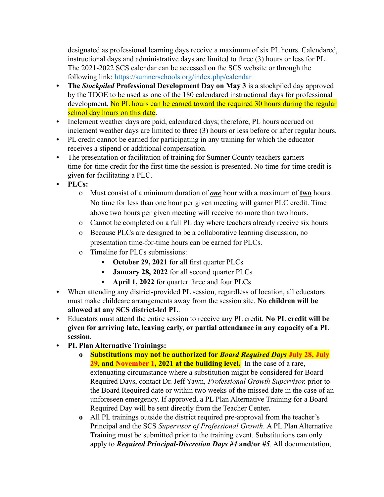designated as professional learning days receive a maximum of six PL hours. Calendared, instructional days and administrative days are limited to three (3) hours or less for PL. The 2021-2022 SCS calendar can be accessed on the SCS website or through the following link: <https://sumnerschools.org/index.php/calendar>

- **• The** *Stockpiled* **Professional Development Day on May 3** is a stockpiled day approved by the TDOE to be used as one of the 180 calendared instructional days for professional development. No PL hours can be earned toward the required 30 hours during the regular school day hours on this date.
- **•** Inclement weather days are paid, calendared days; therefore, PL hours accrued on inclement weather days are limited to three (3) hours or less before or after regular hours.
- **•** PL credit cannot be earned for participating in any training for which the educator receives a stipend or additional compensation.
- **•** The presentation or facilitation of training for Sumner County teachers garners time-for-time credit for the first time the session is presented. No time-for-time credit is given for facilitating a PLC.
- **• PLCs:**
	- o Must consist of a minimum duration of *one* hour with a maximum of **two** hours. No time for less than one hour per given meeting will garner PLC credit. Time above two hours per given meeting will receive no more than two hours.
	- o Cannot be completed on a full PL day where teachers already receive six hours
	- o Because PLCs are designed to be a collaborative learning discussion, no presentation time-for-time hours can be earned for PLCs.
	- o Timeline for PLCs submissions:
		- **October 29, 2021** for all first quarter PLCs
		- **January 28, 2022** for all second quarter PLCs
		- April 1, 2022 for quarter three and four PLCs
- **•** When attending any district-provided PL session, regardless of location, all educators must make childcare arrangements away from the session site. **No children will be allowed at any SCS district-led PL**.
- **•** Educators must attend the entire session to receive any PL credit. **No PL credit will be given for arriving late, leaving early, or partial attendance in any capacity of a PL session**.
- **• PL Plan Alternative Trainings:**
	- **o Substitutions may not be authorized for** *Board Required Days* **July 28, July 29, and November 1, 2021 at the building level.** In the case of a rare, extenuating circumstance where a substitution might be considered for Board Required Days, contact Dr. Jeff Yawn, *Professional Growth Supervisor,* prior to the Board Required date or within two weeks of the missed date in the case of an unforeseen emergency. If approved, a PL Plan Alternative Training for a Board Required Day will be sent directly from the Teacher Center*.*
	- **o** All PL trainings outside the district required pre-approval from the teacher's Principal and the SCS *Supervisor of Professional Growth*. A PL Plan Alternative Training must be submitted prior to the training event. Substitutions can only apply to *Required Principal-Discretion Days #4* **and/or** *#5*. All documentation,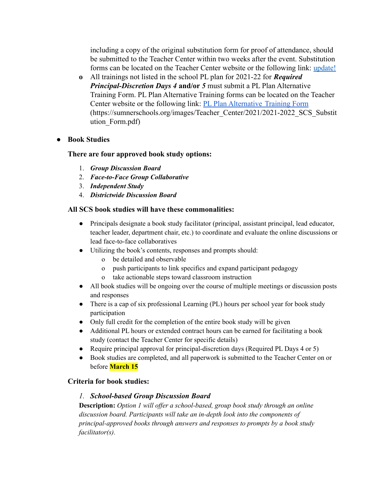including a copy of the original substitution form for proof of attendance, should be submitted to the Teacher Center within two weeks after the event. Substitution forms can be located on the Teacher Center website or the following link: update!

**o** All trainings not listed in the school PL plan for 2021-22 for *Required Principal-Discretion Days 4* **and/or** *5* must submit a PL Plan Alternative Training Form. PL Plan Alternative Training forms can be located on the Teacher Center website or the following link: [PL Plan Alternative](https://sumnerschools.org/images/Teacher_Center/2021/2021-2022_SCS_Substitution_Form.pdf) Training Form (https://sumnerschools.org/images/Teacher\_Center/2021/2021-2022\_SCS\_Substit ution\_Form.pdf)

## **● Book Studies**

#### **There are four approved book study options:**

- 1. *Group Discussion Board*
- 2. *Face-to-Face Group Collaborative*
- 3. *Independent Study*
- 4. *Districtwide Discussion Board*

#### **All SCS book studies will have these commonalities:**

- Principals designate a book study facilitator (principal, assistant principal, lead educator, teacher leader, department chair, etc.) to coordinate and evaluate the online discussions or lead face-to-face collaboratives
- Utilizing the book's contents, responses and prompts should:
	- o be detailed and observable
	- o push participants to link specifics and expand participant pedagogy
	- o take actionable steps toward classroom instruction
- All book studies will be ongoing over the course of multiple meetings or discussion posts and responses
- There is a cap of six professional Learning (PL) hours per school year for book study participation
- Only full credit for the completion of the entire book study will be given
- Additional PL hours or extended contract hours can be earned for facilitating a book study (contact the Teacher Center for specific details)
- Require principal approval for principal-discretion days (Required PL Days 4 or 5)
- Book studies are completed, and all paperwork is submitted to the Teacher Center on or before **March 15**

#### **Criteria for book studies:**

## *1. School-based Group Discussion Board*

**Description:** *Option 1 will of er a school-based, group book study through an online discussion board. Participants will take an in-depth look into the components of principal-approved books through answers and responses to prompts by a book study facilitator(s).*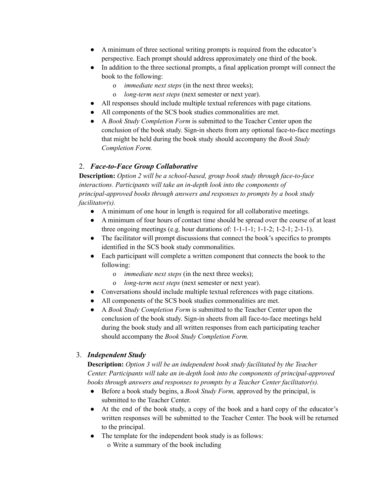- A minimum of three sectional writing prompts is required from the educator's perspective. Each prompt should address approximately one third of the book.
- In addition to the three sectional prompts, a final application prompt will connect the book to the following:
	- o *immediate next steps* (in the next three weeks);
	- o *long-term next steps* (next semester or next year).
- All responses should include multiple textual references with page citations.
- All components of the SCS book studies commonalities are met.
- A *Book Study Completion Form* is submitted to the Teacher Center upon the conclusion of the book study. Sign-in sheets from any optional face-to-face meetings that might be held during the book study should accompany the *Book Study Completion Form.*

# 2. *Face-to-Face Group Collaborative*

**Description:** *Option 2 will be a school-based, group book study through face-to-face interactions. Participants will take an in-depth look into the components of principal-approved books through answers and responses to prompts by a book study facilitator(s).*

- A minimum of one hour in length is required for all collaborative meetings.
- A minimum of four hours of contact time should be spread over the course of at least three ongoing meetings (e.g. hour durations of:  $1-1-1-1$ ;  $1-1-2$ ;  $1-2-1$ ;  $2-1-1$ ).
- The facilitator will prompt discussions that connect the book's specifics to prompts identified in the SCS book study commonalities.
- Each participant will complete a written component that connects the book to the following:
	- o *immediate next steps* (in the next three weeks);
	- o *long-term next steps* (next semester or next year).
- Conversations should include multiple textual references with page citations.
- All components of the SCS book studies commonalities are met.
- A *Book Study Completion Form* is submitted to the Teacher Center upon the conclusion of the book study. Sign-in sheets from all face-to-face meetings held during the book study and all written responses from each participating teacher should accompany the *Book Study Completion Form.*

## 3. *Independent Study*

**Description:** *Option 3 will be an independent book study facilitated by the Teacher Center. Participants will take an in-depth look into the components of principal-approved books through answers and responses to prompts by a Teacher Center facilitator(s).*

- Before a book study begins, a *Book Study Form,* approved by the principal, is submitted to the Teacher Center.
- At the end of the book study, a copy of the book and a hard copy of the educator's written responses will be submitted to the Teacher Center. The book will be returned to the principal.
- The template for the independent book study is as follows: o Write a summary of the book including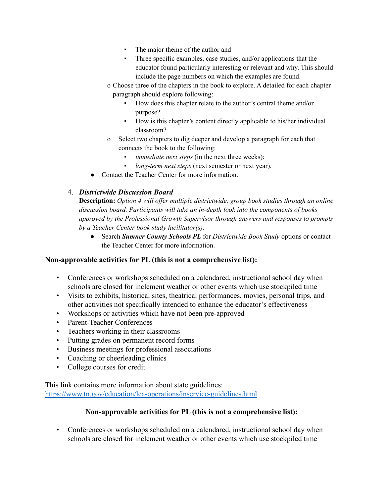- The major theme of the author and
- Three specific examples, case studies, and/or applications that the educator found particularly interesting or relevant and why. This should include the page numbers on which the examples are found.
- o Choose three of the chapters in the book to explore. A detailed for each chapter paragraph should explore following:
	- How does this chapter relate to the author's central theme and/or purpose?
	- How is this chapter's content directly applicable to his/her individual classroom?
- o Select two chapters to dig deeper and develop a paragraph for each that connects the book to the following:
	- *immediate next steps* (in the next three weeks);
	- *long-term next steps* (next semester or next year).
- Contact the Teacher Center for more information.

# 4. *Districtwide Discussion Board*

**Description:** *Option 4 will of er multiple districtwide, group book studies through an online discussion board. Participants will take an in-depth look into the components of books approved by the Professional Growth Supervisor through answers and responses to prompts by a Teacher Center book study facilitator(s).*

● Search *Sumner County Schools PL* for *Districtwide Book Study* options or contact the Teacher Center for more information.

## **Non-approvable activities for PL (this is not a comprehensive list):**

- Conferences or workshops scheduled on a calendared, instructional school day when schools are closed for inclement weather or other events which use stockpiled time
- Visits to exhibits, historical sites, theatrical performances, movies, personal trips, and other activities not specifically intended to enhance the educator's effectiveness
- Workshops or activities which have not been pre-approved
- Parent-Teacher Conferences
- Teachers working in their classrooms
- Putting grades on permanent record forms
- Business meetings for professional associations
- Coaching or cheerleading clinics
- College courses for credit

This link contains more information about state guidelines: <https://www.tn.gov/education/lea-operations/inservice-guidelines.html>

## **Non-approvable activities for PL (this is not a comprehensive list):**

• Conferences or workshops scheduled on a calendared, instructional school day when schools are closed for inclement weather or other events which use stockpiled time